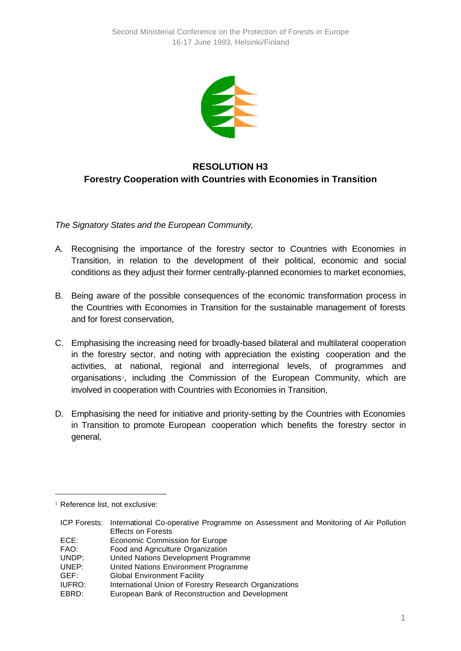

## **RESOLUTION H3 Forestry Cooperation with Countries with Economies in Transition**

*The Signatory States and the European Community,*

- A. Recognising the importance of the forestry sector to Countries with Economies in Transition, in relation to the development of their political, economic and social conditions as they adjust their former centrally-planned economies to market economies,
- B. Being aware of the possible consequences of the economic transformation process in the Countries with Economies in Transition for the sustainable management of forests and for forest conservation,
- C. Emphasising the increasing need for broadly-based bilateral and multilateral cooperation in the forestry sector, and noting with appreciation the existing cooperation and the activities, at national, regional and interregional levels, of programmes and organisations1, including the Commission of the European Community, which are involved in cooperation with Countries with Economies in Transition,
- D. Emphasising the need for initiative and priority-setting by the Countries with Economies in Transition to promote European cooperation which benefits the forestry sector in general,

l

<sup>1</sup> Reference list, not exclusive:

ICP Forests: International Co-operative Programme on Assessment and Monitoring of Air Pollution Effects on Forests

ECE: Economic Commission for Europe

FAO: Food and Agriculture Organization

UNDP: United Nations Development Programme

UNEP: United Nations Environment Programme

GEF: Global Environment Facility

IUFRO: International Union of Forestry Research Organizations

EBRD: European Bank of Reconstruction and Development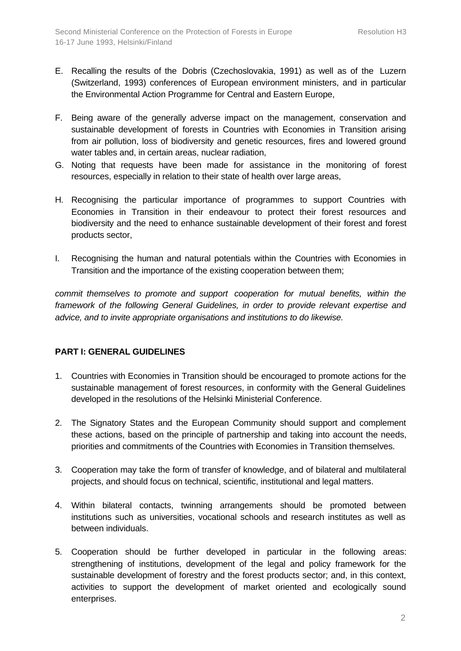- E. Recalling the results of the Dobris (Czechoslovakia, 1991) as well as of the Luzern (Switzerland, 1993) conferences of European environment ministers, and in particular the Environmental Action Programme for Central and Eastern Europe,
- F. Being aware of the generally adverse impact on the management, conservation and sustainable development of forests in Countries with Economies in Transition arising from air pollution, loss of biodiversity and genetic resources, fires and lowered ground water tables and, in certain areas, nuclear radiation,
- G. Noting that requests have been made for assistance in the monitoring of forest resources, especially in relation to their state of health over large areas,
- H. Recognising the particular importance of programmes to support Countries with Economies in Transition in their endeavour to protect their forest resources and biodiversity and the need to enhance sustainable development of their forest and forest products sector,
- I. Recognising the human and natural potentials within the Countries with Economies in Transition and the importance of the existing cooperation between them;

*commit themselves to promote and support cooperation for mutual benefits, within the framework of the following General Guidelines, in order to provide relevant expertise and advice, and to invite appropriate organisations and institutions to do likewise.*

## **PART I: GENERAL GUIDELINES**

- 1. Countries with Economies in Transition should be encouraged to promote actions for the sustainable management of forest resources, in conformity with the General Guidelines developed in the resolutions of the Helsinki Ministerial Conference.
- 2. The Signatory States and the European Community should support and complement these actions, based on the principle of partnership and taking into account the needs, priorities and commitments of the Countries with Economies in Transition themselves.
- 3. Cooperation may take the form of transfer of knowledge, and of bilateral and multilateral projects, and should focus on technical, scientific, institutional and legal matters.
- 4. Within bilateral contacts, twinning arrangements should be promoted between institutions such as universities, vocational schools and research institutes as well as between individuals.
- 5. Cooperation should be further developed in particular in the following areas: strengthening of institutions, development of the legal and policy framework for the sustainable development of forestry and the forest products sector; and, in this context, activities to support the development of market oriented and ecologically sound enterprises.